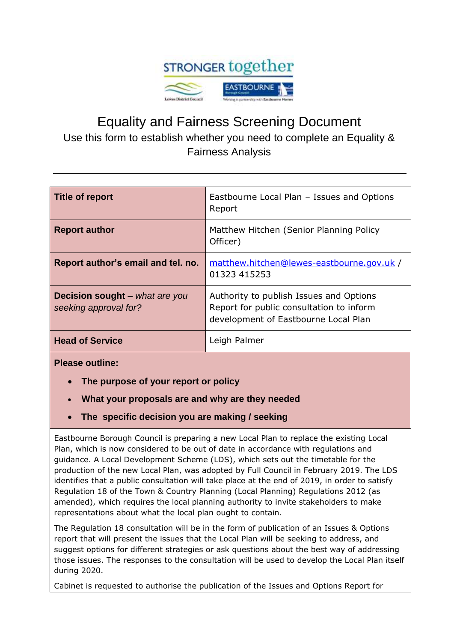

## Equality and Fairness Screening Document Use this form to establish whether you need to complete an Equality & Fairness Analysis

| <b>Title of report</b>                                         | Eastbourne Local Plan - Issues and Options<br>Report                                                                        |
|----------------------------------------------------------------|-----------------------------------------------------------------------------------------------------------------------------|
| <b>Report author</b>                                           | Matthew Hitchen (Senior Planning Policy<br>Officer)                                                                         |
| Report author's email and tel. no.                             | matthew.hitchen@lewes-eastbourne.gov.uk /<br>01323 415253                                                                   |
| <b>Decision sought – what are you</b><br>seeking approval for? | Authority to publish Issues and Options<br>Report for public consultation to inform<br>development of Eastbourne Local Plan |
| <b>Head of Service</b>                                         | Leigh Palmer                                                                                                                |

**Please outline:**

- **The purpose of your report or policy**
- **What your proposals are and why are they needed**
- **The specific decision you are making / seeking**

Eastbourne Borough Council is preparing a new Local Plan to replace the existing Local Plan, which is now considered to be out of date in accordance with regulations and guidance. A Local Development Scheme (LDS), which sets out the timetable for the production of the new Local Plan, was adopted by Full Council in February 2019. The LDS identifies that a public consultation will take place at the end of 2019, in order to satisfy Regulation 18 of the Town & Country Planning (Local Planning) Regulations 2012 (as amended), which requires the local planning authority to invite stakeholders to make representations about what the local plan ought to contain.

The Regulation 18 consultation will be in the form of publication of an Issues & Options report that will present the issues that the Local Plan will be seeking to address, and suggest options for different strategies or ask questions about the best way of addressing those issues. The responses to the consultation will be used to develop the Local Plan itself during 2020.

Cabinet is requested to authorise the publication of the Issues and Options Report for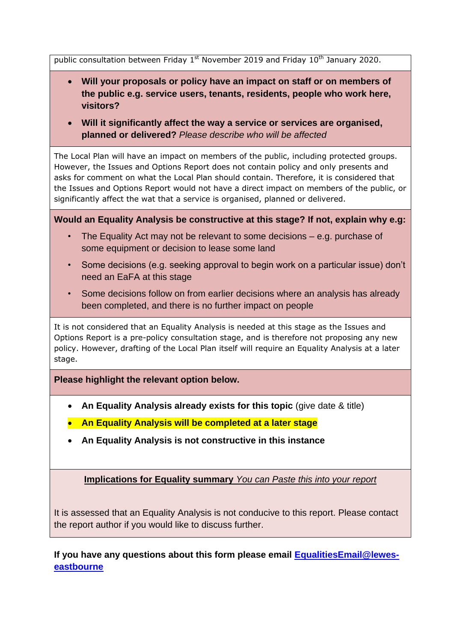public consultation between Friday  $1<sup>st</sup>$  November 2019 and Friday  $10<sup>th</sup>$  January 2020.

- **Will your proposals or policy have an impact on staff or on members of the public e.g. service users, tenants, residents, people who work here, visitors?**
- **Will it significantly affect the way a service or services are organised, planned or delivered?** *Please describe who will be affected*

The Local Plan will have an impact on members of the public, including protected groups. However, the Issues and Options Report does not contain policy and only presents and asks for comment on what the Local Plan should contain. Therefore, it is considered that the Issues and Options Report would not have a direct impact on members of the public, or significantly affect the wat that a service is organised, planned or delivered.

**Would an Equality Analysis be constructive at this stage? If not, explain why e.g:**

- The Equality Act may not be relevant to some decisions e.g. purchase of some equipment or decision to lease some land
- Some decisions (e.g. seeking approval to begin work on a particular issue) don't need an EaFA at this stage
- Some decisions follow on from earlier decisions where an analysis has already been completed, and there is no further impact on people

It is not considered that an Equality Analysis is needed at this stage as the Issues and Options Report is a pre-policy consultation stage, and is therefore not proposing any new policy. However, drafting of the Local Plan itself will require an Equality Analysis at a later stage.

**Please highlight the relevant option below.**

- **An Equality Analysis already exists for this topic** (give date & title)
- **An Equality Analysis will be completed at a later stage**
- **An Equality Analysis is not constructive in this instance**

**Implications for Equality summary** *You can Paste this into your report*

It is assessed that an Equality Analysis is not conducive to this report. Please contact the report author if you would like to discuss further.

**If you have any questions about this form please email [EqualitiesEmail@lewes](mailto:equality@eastbourne.gov.uk)[eastbourne](mailto:equality@eastbourne.gov.uk)**